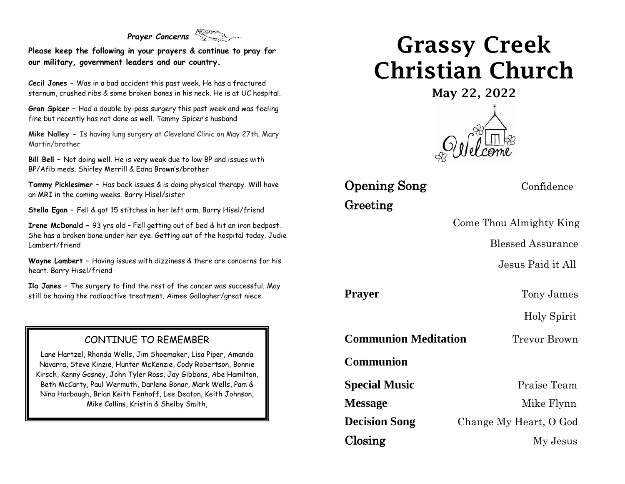### *Prayer Concerns*

**Please keep the following in your prayers & continue to pray for our military, government leaders and our country.**

**Cecil Jones –** Was in a bad accident this past week. He has a fractured sternum, crushed ribs & some broken bones in his neck. He is at UC hospital.

**Gran Spicer –** Had a double by-pass surgery this past week and was feeling fine but recently has not done as well. Tammy Spicer's husband

**Mike Nalley -** Is having lung surgery at Cleveland Clinic on May 27th. Mary Martin/brother

**Bill Bell –** Not doing well. He is very weak due to low BP and issues with BP/Afib meds. Shirley Merrill & Edna Brown's/brother

**Tammy Picklesimer –** Has back issues & is doing physical therapy. Will have an MRI in the coming weeks. Barry Hisel/sister

**Stella Egan –** Fell & got 15 stitches in her left arm. Barry Hisel/friend

**Irene McDonald –** 93 yrs old – Fell getting out of bed & hit an iron bedpost. She has a broken bone under her eye. Getting out of the hospital today. Judie Lambert/friend

**Wayne Lambert –** Having issues with dizziness & there are concerns for his heart. Barry Hisel/friend

**Ila Janes –** The surgery to find the rest of the cancer was successful. May still be having the radioactive treatment. Aimee Gallagher/great niece

#### CONTINUE TO REMEMBER

Lane Hartzel, Rhonda Wells, Jim Shoemaker, Lisa Piper, Amanda Navarra, Steve Kinzie, Hunter McKenzie, Cody Robertson, Bonnie Kirsch, Kenny Gosney, John Tyler Ross, Jay Gibbons, Abe Hamilton, Beth McCarty, Paul Wermuth, Darlene Bonar, Mark Wells, Pam & Nina Harbaugh, Brian Keith Fenhoff, Lee Deaton, Keith Johnson, Mike Collins, Kristin & Shelby Smith,

# Grassy Creek Christian Church

May 22, 2022



**Opening Song** Confidence Greeting

Come Thou Almighty King

Blessed Assurance

Jesus Paid it All

**Prayer** Tony James

Holy Spirit

**Communion Meditation** Trevor Brown

**Communion**

**Special Music** Praise Team **Message** Mike Flynn **Decision Song** Change My Heart, O God Closing My Jesus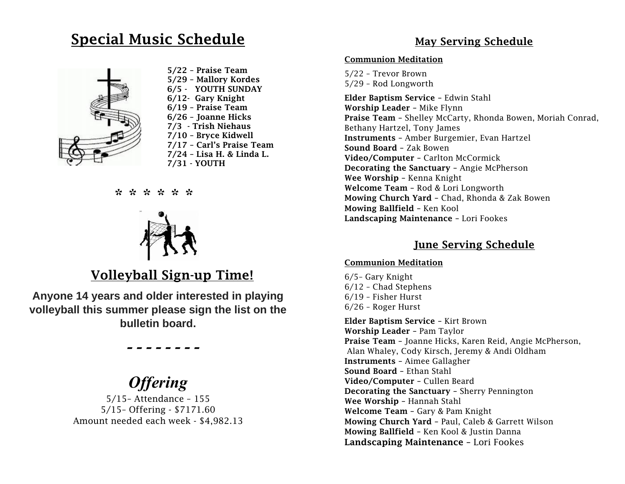### Special Music Schedule



 5/22 – Praise Team 5/29 – Mallory Kordes 6/5 - YOUTH SUNDAY 6/12- Gary Knight 6/19 – Praise Team 6/26 – Joanne Hicks 7/3 - Trish Niehaus 7/10 – Bryce Kidwell 7/17 – Carl's Praise Team 7/24 – Lisa H. & Linda L. 7/31 - YOUTH

\* \* \* \* \* \*



### Volleyball Sign-up Time!

**Anyone 14 years and older interested in playing volleyball this summer please sign the list on the bulletin board.**

### *Offering*

 *- - - - - - - -*

5/15– Attendance – 155 5/15– Offering - \$7171.60 Amount needed each week - \$4,982.13

### May Serving Schedule

#### Communion Meditation

5/22 – Trevor Brown 5/29 – Rod Longworth

Elder Baptism Service – Edwin Stahl Worship Leader – Mike Flynn Praise Team – Shelley McCarty, Rhonda Bowen, Moriah Conrad, Bethany Hartzel, Tony James Instruments – Amber Burgemier, Evan Hartzel Sound Board – Zak Bowen Video/Computer – Carlton McCormick Decorating the Sanctuary – Angie McPherson Wee Worship – Kenna Knight Welcome Team – Rod & Lori Longworth Mowing Church Yard – Chad, Rhonda & Zak Bowen Mowing Ballfield – Ken Kool Landscaping Maintenance – Lori Fookes

#### June Serving Schedule

#### Communion Meditation

6/5– Gary Knight 6/12 – Chad Stephens 6/19 – Fisher Hurst 6/26 – Roger Hurst

Elder Baptism Service – Kirt Brown Worship Leader – Pam Taylor Praise Team – Joanne Hicks, Karen Reid, Angie McPherson, Alan Whaley, Cody Kirsch, Jeremy & Andi Oldham Instruments – Aimee Gallagher Sound Board – Ethan Stahl Video/Computer – Cullen Beard Decorating the Sanctuary – Sherry Pennington Wee Worship – Hannah Stahl Welcome Team – Gary & Pam Knight Mowing Church Yard – Paul, Caleb & Garrett Wilson Mowing Ballfield – Ken Kool & Justin Danna Landscaping Maintenance – Lori Fookes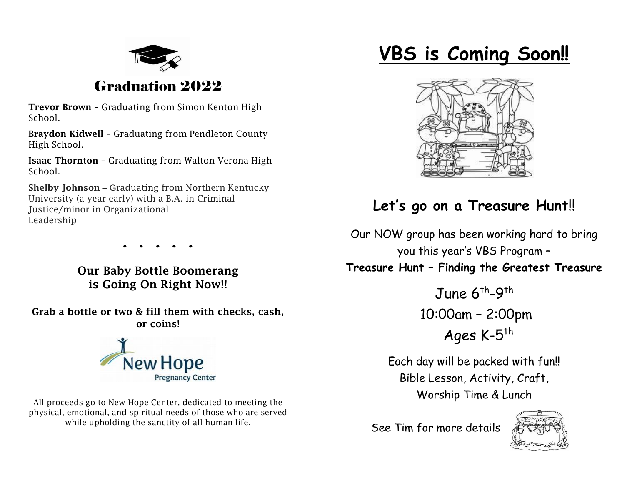

### Graduation 2022

Trevor Brown – Graduating from Simon Kenton High School.

Braydon Kidwell – Graduating from Pendleton County High School.

Isaac Thornton – Graduating from Walton-Verona High School.

Shelby Johnson – Graduating from Northern Kentucky University (a year early) with a B.A. in Criminal Justice/minor in Organizational Leadership

**. . . . .**

Our Baby Bottle Boomerang is Going On Right Now!!

Grab a bottle or two & fill them with checks, cash, or coins!



All proceeds go to New Hope Center, dedicated to meeting the physical, emotional, and spiritual needs of those who are served while upholding the sanctity of all human life.

# **VBS is Coming Soon!!**



### **Let's go on a Treasure Hunt**!!

Our NOW group has been working hard to bring you this year's VBS Program – **Treasure Hunt – Finding the Greatest Treasure**

> June 6<sup>th</sup>-9<sup>th</sup> 10:00am – 2:00pm

Ages K-5<sup>th</sup>

Each day will be packed with fun!! Bible Lesson, Activity, Craft, Worship Time & Lunch

See Tim for more details